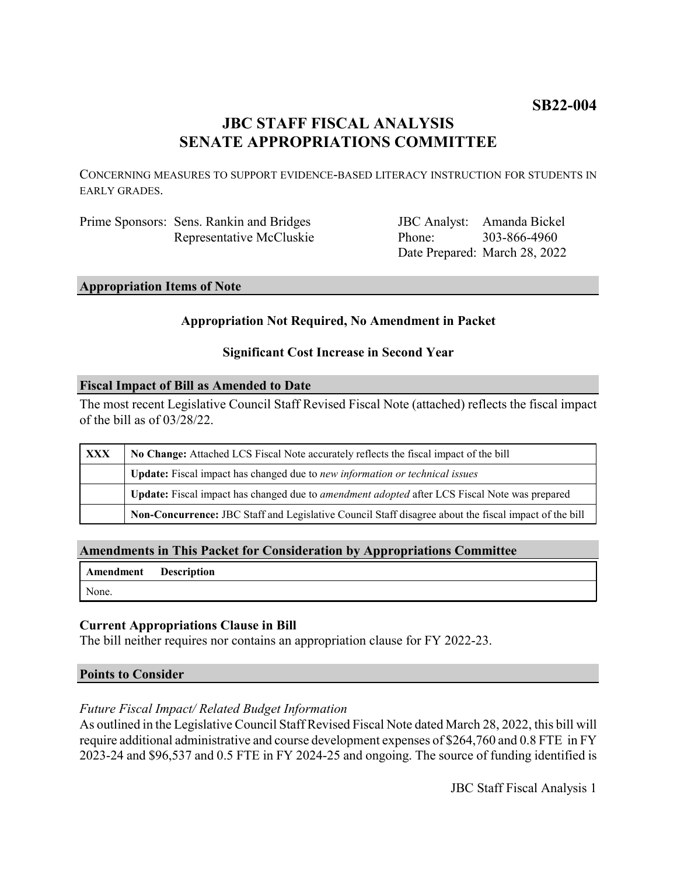# **SB22-004**

# **JBC STAFF FISCAL ANALYSIS SENATE APPROPRIATIONS COMMITTEE**

CONCERNING MEASURES TO SUPPORT EVIDENCE-BASED LITERACY INSTRUCTION FOR STUDENTS IN EARLY GRADES.

| Prime Sponsors: Sens. Rankin and Bridges |
|------------------------------------------|
| Representative McCluskie                 |

JBC Analyst: Amanda Bickel Phone: Date Prepared: March 28, 2022 303-866-4960

## **Appropriation Items of Note**

## **Appropriation Not Required, No Amendment in Packet**

## **Significant Cost Increase in Second Year**

## **Fiscal Impact of Bill as Amended to Date**

The most recent Legislative Council Staff Revised Fiscal Note (attached) reflects the fiscal impact of the bill as of 03/28/22.

| <b>XXX</b> | No Change: Attached LCS Fiscal Note accurately reflects the fiscal impact of the bill                 |  |
|------------|-------------------------------------------------------------------------------------------------------|--|
|            | Update: Fiscal impact has changed due to new information or technical issues                          |  |
|            | Update: Fiscal impact has changed due to <i>amendment adopted</i> after LCS Fiscal Note was prepared  |  |
|            | Non-Concurrence: JBC Staff and Legislative Council Staff disagree about the fiscal impact of the bill |  |

# **Amendments in This Packet for Consideration by Appropriations Committee**

| Amendment Description |  |
|-----------------------|--|
| None.                 |  |

# **Current Appropriations Clause in Bill**

The bill neither requires nor contains an appropriation clause for FY 2022-23.

## **Points to Consider**

# *Future Fiscal Impact/ Related Budget Information*

As outlined in the Legislative Council Staff Revised Fiscal Note dated March 28, 2022, this bill will require additional administrative and course development expenses of \$264,760 and 0.8 FTE in FY 2023-24 and \$96,537 and 0.5 FTE in FY 2024-25 and ongoing. The source of funding identified is